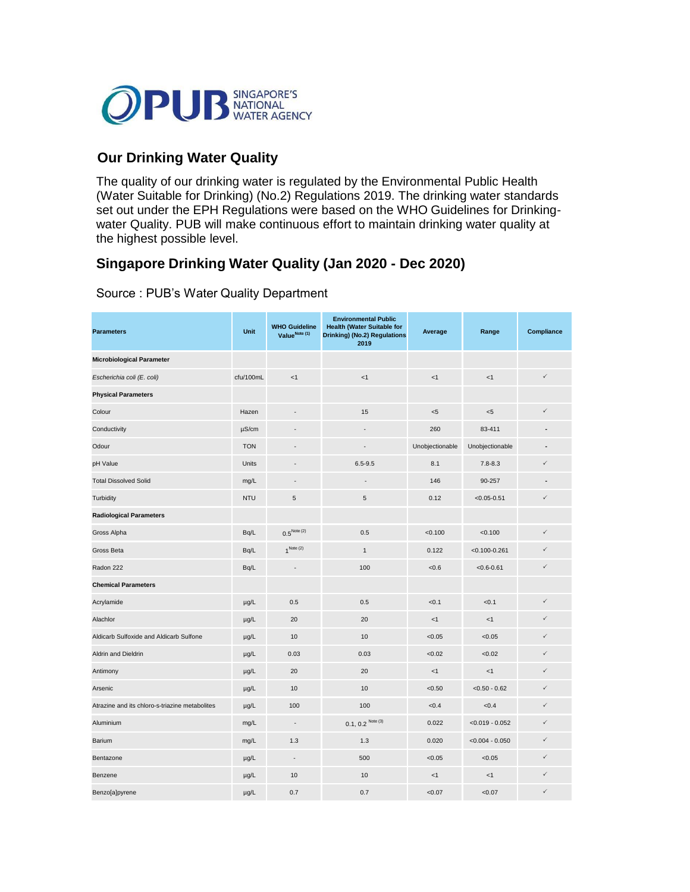

## **Our Drinking Water Quality**

| <b>Parameters</b>                       | Unit       | <b>WHO Guideline</b><br>Value <sup>Note (1)</sup> | <b>Environmental Public</b><br><b>Health (Water Suitable for</b><br><b>Drinking) (No.2) Regulations</b><br>2019 | Average         | Range             | <b>Compliance</b> |
|-----------------------------------------|------------|---------------------------------------------------|-----------------------------------------------------------------------------------------------------------------|-----------------|-------------------|-------------------|
| <b>Microbiological Parameter</b>        |            |                                                   |                                                                                                                 |                 |                   |                   |
| Escherichia coli (E. coli)              | cfu/100mL  | < 1                                               | < 1                                                                                                             | < 1             | < 1               | $\checkmark$      |
| <b>Physical Parameters</b>              |            |                                                   |                                                                                                                 |                 |                   |                   |
| Colour                                  | Hazen      | $\overline{a}$                                    | 15                                                                                                              | $5$             | $< 5$             | $\checkmark$      |
| Conductivity                            | $\mu$ S/cm | $\blacksquare$                                    | $\blacksquare$                                                                                                  | 260             | 83-411            |                   |
| Odour                                   | <b>TON</b> | $\blacksquare$                                    | $\sim$                                                                                                          | Unobjectionable | Unobjectionable   | $\blacksquare$    |
| pH Value                                | Units      | $\blacksquare$                                    | $6.5 - 9.5$                                                                                                     | 8.1             | $7.8 - 8.3$       | $\checkmark$      |
| <b>Total Dissolved Solid</b>            | mg/L       | $\blacksquare$                                    | $\blacksquare$                                                                                                  | 146             | 90-257            |                   |
| Turbidity                               | <b>NTU</b> | 5                                                 | $\sqrt{5}$                                                                                                      | 0.12            | $< 0.05 - 0.51$   | $\checkmark$      |
| <b>Radiological Parameters</b>          |            |                                                   |                                                                                                                 |                 |                   |                   |
| Gross Alpha                             | Bq/L       | $0.5^{Note (2)}$                                  | 0.5                                                                                                             | < 0.100         | < 0.100           | $\checkmark$      |
| Gross Beta                              | Bq/L       | $1^{\text{Note (2)}}$                             | $\mathbf{1}$                                                                                                    | 0.122           | $< 0.100 - 0.261$ | $\checkmark$      |
| Radon 222                               | Bq/L       | $\overline{\phantom{a}}$                          | 100                                                                                                             | < 0.6           | $< 0.6 - 0.61$    | $\checkmark$      |
| <b>Chemical Parameters</b>              |            |                                                   |                                                                                                                 |                 |                   |                   |
| Acrylamide                              | $\mu g/L$  | 0.5                                               | 0.5                                                                                                             | < 0.1           | < 0.1             | $\checkmark$      |
| Alachlor                                | $\mu$ g/L  | 20                                                | 20                                                                                                              | < 1             | < 1               | $\checkmark$      |
| Aldicarb Sulfoxide and Aldicarb Sulfone | $\mu$ g/L  | 10                                                | 10                                                                                                              | < 0.05          | < 0.05            | $\checkmark$      |
| Aldrin and Dieldrin                     | $\mu g/L$  | 0.03                                              | 0.03                                                                                                            | <0.02           | < 0.02            | $\checkmark$      |
| Antimony                                | $\mu$ g/L  | 20                                                | 20                                                                                                              | < 1             | < 1               | $\checkmark$      |
| Arsenic                                 | $\mu$ g/L  | 10                                                | 10                                                                                                              | < 0.50          | $< 0.50 - 0.62$   | $\checkmark$      |

| Atrazine and its chloro-s-triazine metabolites | $\mu$ g/L | 100    | 100                  | < 0.4  | < 0.4             |  |
|------------------------------------------------|-----------|--------|----------------------|--------|-------------------|--|
| Aluminium                                      | mg/L      | ۰.     | $0.1, 0.2^{Note(3)}$ | 0.022  | $< 0.019 - 0.052$ |  |
| <b>Barium</b>                                  | mg/L      | 1.3    | 1.3                  | 0.020  | $< 0.004 - 0.050$ |  |
| Bentazone                                      | $\mu$ g/L | $\sim$ | 500                  | < 0.05 | < 0.05            |  |
| Benzene                                        | $\mu$ g/L | 10     | 10                   | $<$ 1  | $<$ 1             |  |
| Benzo[a]pyrene                                 | $\mu$ g/L | 0.7    | 0.7                  | < 0.07 | < 0.07            |  |

The quality of our drinking water is regulated by the Environmental Public Health (Water Suitable for Drinking) (No.2) Regulations 2019. The drinking water standards set out under the EPH Regulations were based on the WHO Guidelines for Drinkingwater Quality. PUB will make continuous effort to maintain drinking water quality at the highest possible level.

## **Singapore Drinking Water Quality (Jan 2020 - Dec 2020)**

Source : PUB's Water Quality Department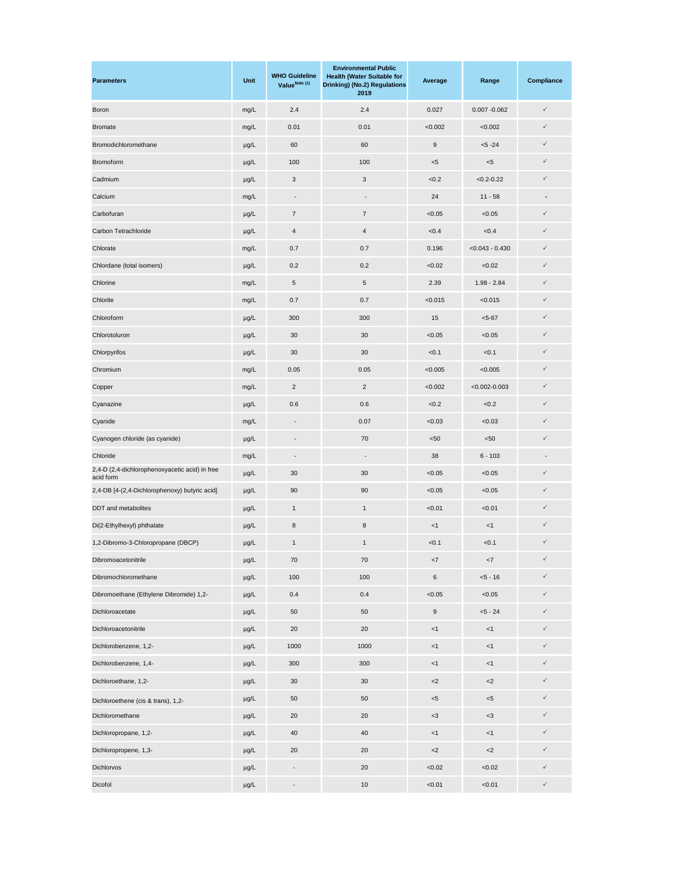| <b>Parameters</b>                                           | <b>Unit</b> | <b>WHO Guideline</b><br>Value <sup>Note (1)</sup> | <b>Environmental Public</b><br><b>Health (Water Suitable for</b><br><b>Drinking) (No.2) Regulations</b><br>2019 | Average          | Range             | <b>Compliance</b> |
|-------------------------------------------------------------|-------------|---------------------------------------------------|-----------------------------------------------------------------------------------------------------------------|------------------|-------------------|-------------------|
| <b>Boron</b>                                                | mg/L        | 2.4                                               | 2.4                                                                                                             | 0.027            | $0.007 - 0.062$   | $\checkmark$      |
| <b>Bromate</b>                                              | mg/L        | 0.01                                              | 0.01                                                                                                            | < 0.002          | < 0.002           | $\checkmark$      |
| Bromodichloromethane                                        | $\mu g/L$   | 60                                                | 60                                                                                                              | $\boldsymbol{9}$ | $< 5 - 24$        | $\checkmark$      |
| <b>Bromoform</b>                                            | $\mu g/L$   | 100                                               | 100                                                                                                             | $< 5$            | $< 5$             | $\checkmark$      |
| Cadmium                                                     | $\mu g/L$   | 3                                                 | 3                                                                                                               | < 0.2            | $< 0.2 - 0.22$    | $\checkmark$      |
| Calcium                                                     | mg/L        | $\blacksquare$                                    | $\blacksquare$                                                                                                  | 24               | $11 - 58$         | $\blacksquare$    |
| Carbofuran                                                  | $\mu g/L$   | $\overline{7}$                                    | $\overline{7}$                                                                                                  | < 0.05           | < 0.05            | $\checkmark$      |
| Carbon Tetrachloride                                        | $\mu g/L$   | $\overline{4}$                                    | $\overline{4}$                                                                                                  | < 0.4            | < 0.4             | $\checkmark$      |
| Chlorate                                                    | mg/L        | 0.7                                               | 0.7                                                                                                             | 0.196            | $< 0.043 - 0.430$ | $\checkmark$      |
| Chlordane (total isomers)                                   | $\mu g/L$   | 0.2                                               | $0.2\,$                                                                                                         | < 0.02           | < 0.02            | $\checkmark$      |
| Chlorine                                                    | mg/L        | $5\phantom{.0}$                                   | $\sqrt{5}$                                                                                                      | 2.39             | $1.98 - 2.84$     | $\checkmark$      |
| Chlorite                                                    | mg/L        | 0.7                                               | 0.7                                                                                                             | < 0.015          | < 0.015           | $\checkmark$      |
| Chloroform                                                  | $\mu g/L$   | 300                                               | 300                                                                                                             | 15               | $< 5 - 67$        | $\checkmark$      |
| Chlorotoluron                                               | $\mu g/L$   | 30                                                | 30                                                                                                              | < 0.05           | < 0.05            | $\checkmark$      |
| Chlorpyrifos                                                | $\mu g/L$   | 30                                                | 30                                                                                                              | < 0.1            | < 0.1             | $\checkmark$      |
| Chromium                                                    | mg/L        | 0.05                                              | 0.05                                                                                                            | < 0.005          | < 0.005           | $\checkmark$      |
| Copper                                                      | mg/L        | $\overline{2}$                                    | $\overline{c}$                                                                                                  | < 0.002          | $< 0.002 - 0.003$ | $\checkmark$      |
| Cyanazine                                                   | $\mu g/L$   | 0.6                                               | 0.6                                                                                                             | < 0.2            | < 0.2             | $\checkmark$      |
| Cyanide                                                     | mg/L        |                                                   | 0.07                                                                                                            | < 0.03           | < 0.03            | $\checkmark$      |
| Cyanogen chloride (as cyanide)                              | $\mu g/L$   | $\overline{\phantom{a}}$                          | 70                                                                                                              | < 50             | < 50              | $\checkmark$      |
| Chloride                                                    | mg/L        | $\overline{\phantom{a}}$                          | $\overline{\phantom{a}}$                                                                                        | 38               | $6 - 103$         |                   |
| 2,4-D (2,4-dichlorophenoxyacetic acid) in free<br>acid form | $\mu g/L$   | 30                                                | 30                                                                                                              | < 0.05           | < 0.05            | $\checkmark$      |
| 2,4-DB [4-(2,4-Dichlorophenoxy) butyric acid]               | $\mu g/L$   | 90                                                | 90                                                                                                              | < 0.05           | < 0.05            | $\checkmark$      |
| <b>DDT</b> and metabolites                                  | $\mu g/L$   | $\mathbf{1}$                                      | $\mathbf{1}$                                                                                                    | < 0.01           | < 0.01            | $\checkmark$      |
| Di(2-Ethylhexyl) phthalate                                  | $\mu g/L$   | 8                                                 | 8                                                                                                               | < 1              | <1                | $\checkmark$      |
| 1,2-Dibromo-3-Chloropropane (DBCP)                          | $\mu g/L$   | $\mathbf{1}$                                      | $\mathbf{1}$                                                                                                    | < 0.1            | < 0.1             | $\checkmark$      |
| Dibromoacetonitrile                                         | $\mu g/L$   | 70                                                | 70                                                                                                              | <7               | $<7\,$            | $\checkmark$      |
| Dibromochloromethane                                        | $\mu g/L$   | 100                                               | 100                                                                                                             | 6                | $< 5 - 16$        | $\checkmark$      |
| Dibromoethane (Ethylene Dibromide) 1,2-                     | $\mu g/L$   | 0.4                                               | 0.4                                                                                                             | < 0.05           | < 0.05            | $\checkmark$      |
| Dichloroacetate                                             | $\mu g/L$   | 50                                                | 50                                                                                                              | 9                | $< 5 - 24$        | $\checkmark$      |
| Dichloroacetonitrile                                        | $\mu g/L$   | 20                                                | 20                                                                                                              | $<1\,$           | $<1$              | $\checkmark$      |
| Dichlorobenzene, 1,2-                                       | $\mu g/L$   | 1000                                              | 1000                                                                                                            | < 1              | <1                | $\checkmark$      |
| Dichlorobenzene, 1,4-                                       | $\mu g/L$   | 300                                               | 300                                                                                                             | $<$ 1            | $<$ 1             | $\checkmark$      |
| Dichloroethane, 1,2-                                        | $\mu g/L$   | 30                                                | 30                                                                                                              | $<$ 2            | $<$ 2             | $\checkmark$      |
| Dichloroethene (cis & trans), 1,2-                          | $\mu g/L$   | 50                                                | 50                                                                                                              | $5$              | $< 5$             | $\checkmark$      |
| Dichloromethane                                             | $\mu g/L$   | 20                                                | 20                                                                                                              | $<$ 3            | $<$ 3             | $\checkmark$      |
| Dichloropropane, 1,2-                                       | $\mu g/L$   | 40                                                | 40                                                                                                              | $<$ 1            | < 1               | $\checkmark$      |
| Dichloropropene, 1,3-                                       | $\mu$ g/L   | 20                                                | 20                                                                                                              | $<$ 2            | $<$ 2             | $\checkmark$      |
| Dichlorvos                                                  | $\mu g/L$   |                                                   | $20\,$                                                                                                          | < 0.02           | < 0.02            | $\checkmark$      |
| Dicofol                                                     | $\mu g/L$   | $\overline{\phantom{a}}$                          | $10\,$                                                                                                          | < 0.01           | < 0.01            | $\checkmark$      |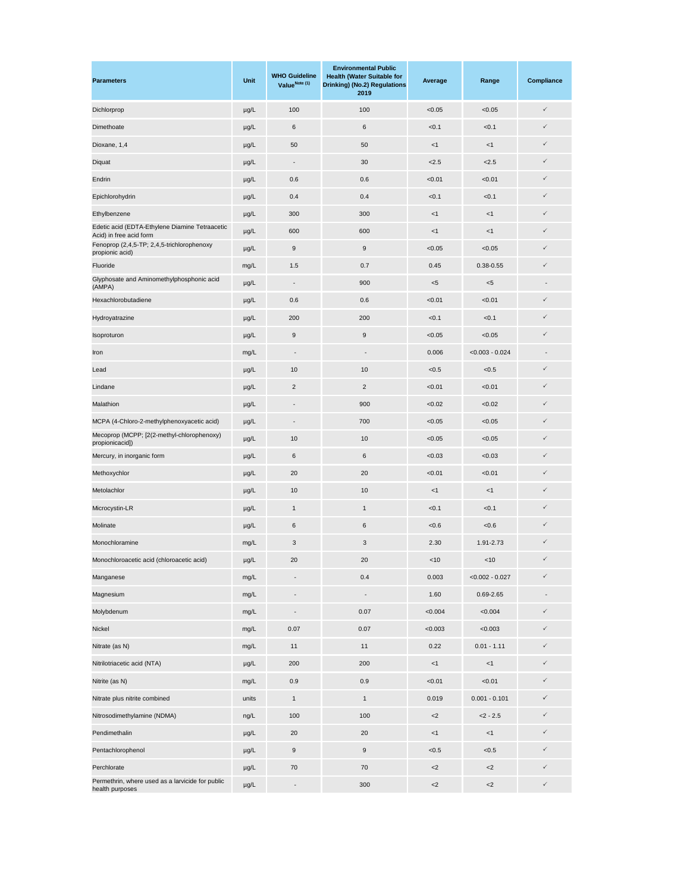| <b>Parameters</b>                                                         | Unit      | <b>WHO Guideline</b><br>Value <sup>Note (1)</sup> | <b>Environmental Public</b><br><b>Health (Water Suitable for</b><br><b>Drinking) (No.2) Regulations</b><br>2019 | Average | Range             | <b>Compliance</b>        |
|---------------------------------------------------------------------------|-----------|---------------------------------------------------|-----------------------------------------------------------------------------------------------------------------|---------|-------------------|--------------------------|
| Dichlorprop                                                               | $\mu g/L$ | 100                                               | 100                                                                                                             | < 0.05  | < 0.05            | $\checkmark$             |
| Dimethoate                                                                | $\mu g/L$ | 6                                                 | $\,6$                                                                                                           | < 0.1   | < 0.1             | $\checkmark$             |
| Dioxane, 1,4                                                              | $\mu g/L$ | 50                                                | 50                                                                                                              | <1      | $<1\,$            | $\checkmark$             |
| Diquat                                                                    | $\mu g/L$ | $\blacksquare$                                    | 30                                                                                                              | < 2.5   | 2.5               | $\checkmark$             |
| Endrin                                                                    | $\mu g/L$ | 0.6                                               | 0.6                                                                                                             | < 0.01  | < 0.01            | $\checkmark$             |
| Epichlorohydrin                                                           | $\mu g/L$ | 0.4                                               | 0.4                                                                                                             | < 0.1   | < 0.1             | $\checkmark$             |
| Ethylbenzene                                                              | $\mu g/L$ | 300                                               | 300                                                                                                             | <1      | <1                | $\checkmark$             |
| Edetic acid (EDTA-Ethylene Diamine Tetraacetic<br>Acid) in free acid form | $\mu g/L$ | 600                                               | 600                                                                                                             | <1      | < 1               | $\checkmark$             |
| Fenoprop (2,4,5-TP; 2,4,5-trichlorophenoxy<br>propionic acid)             | $\mu g/L$ | 9                                                 | 9                                                                                                               | < 0.05  | < 0.05            | $\checkmark$             |
| Fluoride                                                                  | mg/L      | 1.5                                               | 0.7                                                                                                             | 0.45    | $0.38 - 0.55$     | $\checkmark$             |
| Glyphosate and Aminomethylphosphonic acid<br>(AMPA)                       | $\mu g/L$ | $\overline{\phantom{a}}$                          | 900                                                                                                             | < 5     | $< 5$             | $\overline{\phantom{a}}$ |
| Hexachlorobutadiene                                                       | $\mu g/L$ | 0.6                                               | 0.6                                                                                                             | < 0.01  | < 0.01            | $\checkmark$             |
| Hydroyatrazine                                                            | $\mu g/L$ | 200                                               | 200                                                                                                             | < 0.1   | < 0.1             | $\checkmark$             |
| Isoproturon                                                               | $\mu g/L$ | 9                                                 | $\boldsymbol{9}$                                                                                                | < 0.05  | < 0.05            | $\checkmark$             |
| Iron                                                                      | mg/L      | $\blacksquare$                                    | $\frac{1}{2}$                                                                                                   | 0.006   | $< 0.003 - 0.024$ |                          |
| Lead                                                                      | $\mu g/L$ | 10                                                | 10                                                                                                              | < 0.5   | < 0.5             | $\checkmark$             |
| Lindane                                                                   | $\mu g/L$ | $\overline{2}$                                    | $\overline{2}$                                                                                                  | < 0.01  | < 0.01            | $\checkmark$             |
| Malathion                                                                 | $\mu$ g/L |                                                   | 900                                                                                                             | < 0.02  | < 0.02            | $\checkmark$             |
| MCPA (4-Chloro-2-methylphenoxyacetic acid)                                | $\mu$ g/L |                                                   | 700                                                                                                             | < 0.05  | < 0.05            | $\checkmark$             |
| Mecoprop (MCPP; [2(2-methyl-chlorophenoxy)<br>propionicacid])             | $\mu g/L$ | 10                                                | 10                                                                                                              | < 0.05  | < 0.05            | $\checkmark$             |
| Mercury, in inorganic form                                                | $\mu g/L$ | $\,6$                                             | $\,6$                                                                                                           | < 0.03  | < 0.03            | $\checkmark$             |
| Methoxychlor                                                              | $\mu g/L$ | 20                                                | 20                                                                                                              | < 0.01  | < 0.01            | $\checkmark$             |
| Metolachlor                                                               | $\mu g/L$ | 10                                                | 10                                                                                                              | <1      | $<1\,$            | $\checkmark$             |
| Microcystin-LR                                                            | $\mu g/L$ | $\mathbf{1}$                                      | $\mathbf{1}$                                                                                                    | < 0.1   | < 0.1             | $\checkmark$             |
| Molinate                                                                  | $\mu g/L$ | $\,6$                                             | $\,6$                                                                                                           | < 0.6   | <0.6              | $\checkmark$             |
| Monochloramine                                                            | mg/L      | 3                                                 | $\mathbf{3}$                                                                                                    | 2.30    | 1.91-2.73         | $\checkmark$             |
| Monochloroacetic acid (chloroacetic acid)                                 | $\mu g/L$ | 20                                                | 20                                                                                                              | $<10$   | $<$ 10            | $\checkmark$             |
| Manganese                                                                 | mg/L      | $\blacksquare$                                    | 0.4                                                                                                             | 0.003   | $< 0.002 - 0.027$ | $\checkmark$             |
| Magnesium                                                                 | mg/L      | $\blacksquare$                                    | $\overline{\phantom{0}}$                                                                                        | 1.60    | 0.69-2.65         |                          |
| Molybdenum                                                                | mg/L      | $\blacksquare$                                    | 0.07                                                                                                            | < 0.004 | < 0.004           | $\checkmark$             |
| Nickel                                                                    | mg/L      | 0.07                                              | 0.07                                                                                                            | < 0.003 | < 0.003           | $\checkmark$             |
| Nitrate (as N)                                                            | mg/L      | 11                                                | 11                                                                                                              | 0.22    | $0.01 - 1.11$     | $\checkmark$             |
| Nitrilotriacetic acid (NTA)                                               | $\mu g/L$ | 200                                               | 200                                                                                                             | <1      | $<1$              | $\checkmark$             |
| Nitrite (as N)                                                            | mg/L      | 0.9                                               | 0.9                                                                                                             | < 0.01  | < 0.01            | $\checkmark$             |
| Nitrate plus nitrite combined                                             | units     | $\mathbf{1}$                                      | $\mathbf{1}$                                                                                                    | 0.019   | $0.001 - 0.101$   | $\checkmark$             |
| Nitrosodimethylamine (NDMA)                                               | ng/L      | 100                                               | 100                                                                                                             | ${<}2$  | $<$ 2 - 2.5       | $\checkmark$             |
| Pendimethalin                                                             | $\mu g/L$ | 20                                                | 20                                                                                                              | $<$ 1   | < 1               | $\checkmark$             |
| Pentachlorophenol                                                         | $\mu g/L$ | 9                                                 | 9                                                                                                               | < 0.5   | < 0.5             | $\checkmark$             |
| Perchlorate                                                               | $\mu g/L$ | 70                                                | $70\,$                                                                                                          | $<$ 2   | $<$ 2             | $\checkmark$             |
| Permethrin, where used as a larvicide for public<br>health purposes       | $\mu g/L$ | $\blacksquare$                                    | 300                                                                                                             | ${<}2$  | ${<}2$            | $\checkmark$             |